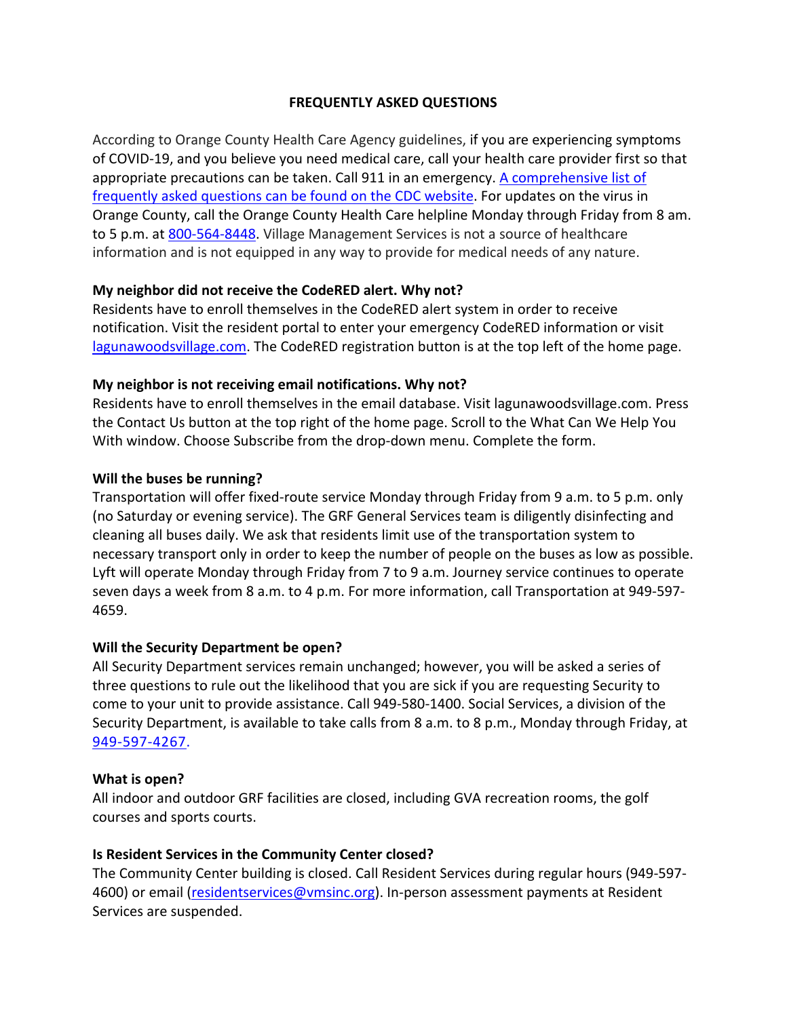## **FREQUENTLY ASKED QUESTIONS**

According to Orange County Health Care Agency guidelines, if you are experiencing symptoms of COVID-19, and you believe you need medical care, call your health care provider first so that appropriate precautions can be taken. Call 911 in an emergency. A comprehensive list of frequently asked questions can be found on the CDC website. For updates on the virus in Orange County, call the Orange County Health Care helpline Monday through Friday from 8 am. to 5 p.m. at 800-564-8448. Village Management Services is not a source of healthcare information and is not equipped in any way to provide for medical needs of any nature.

### **My neighbor did not receive the CodeRED alert. Why not?**

Residents have to enroll themselves in the CodeRED alert system in order to receive notification. Visit the resident portal to enter your emergency CodeRED information or visit lagunawoodsvillage.com. The CodeRED registration button is at the top left of the home page.

## **My neighbor is not receiving email notifications. Why not?**

Residents have to enroll themselves in the email database. Visit lagunawoodsvillage.com. Press the Contact Us button at the top right of the home page. Scroll to the What Can We Help You With window. Choose Subscribe from the drop-down menu. Complete the form.

## **Will the buses be running?**

Transportation will offer fixed-route service Monday through Friday from 9 a.m. to 5 p.m. only (no Saturday or evening service). The GRF General Services team is diligently disinfecting and cleaning all buses daily. We ask that residents limit use of the transportation system to necessary transport only in order to keep the number of people on the buses as low as possible. Lyft will operate Monday through Friday from 7 to 9 a.m. Journey service continues to operate seven days a week from 8 a.m. to 4 p.m. For more information, call Transportation at 949-597- 4659.

### **Will the Security Department be open?**

All Security Department services remain unchanged; however, you will be asked a series of three questions to rule out the likelihood that you are sick if you are requesting Security to come to your unit to provide assistance. Call 949-580-1400. Social Services, a division of the Security Department, is available to take calls from 8 a.m. to 8 p.m., Monday through Friday, at 949-597-4267.

### **What is open?**

All indoor and outdoor GRF facilities are closed, including GVA recreation rooms, the golf courses and sports courts.

# **Is Resident Services in the Community Center closed?**

The Community Center building is closed. Call Resident Services during regular hours (949-597- 4600) or email (residentservices@vmsinc.org). In-person assessment payments at Resident Services are suspended.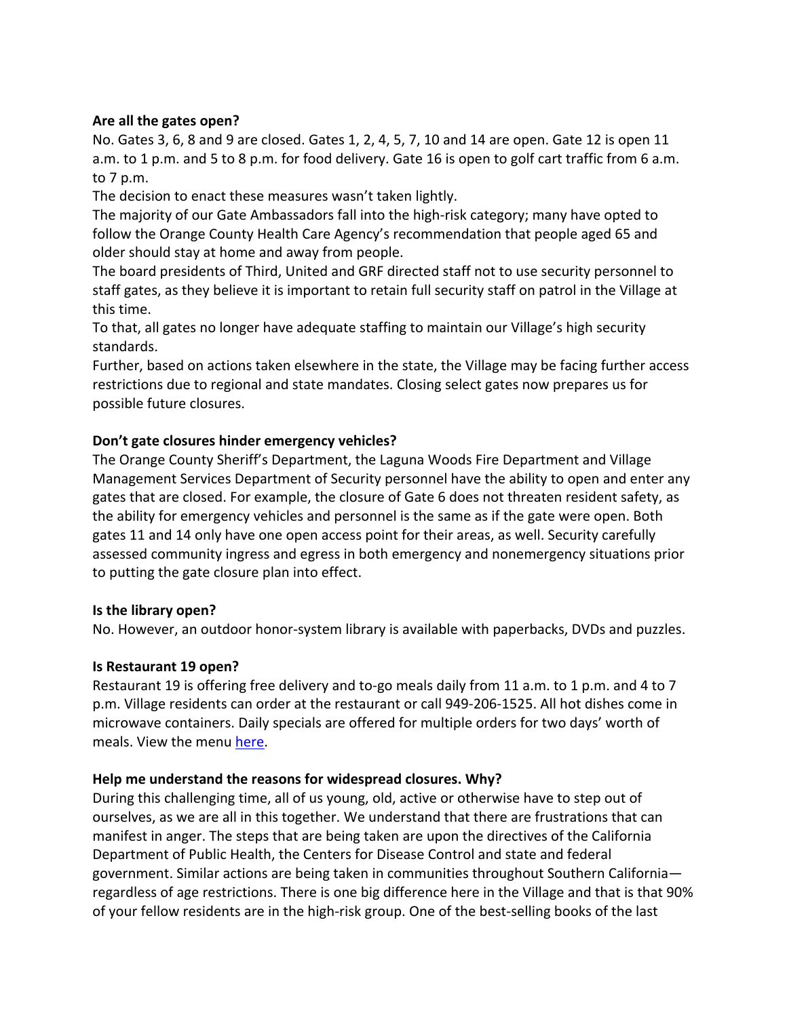### **Are all the gates open?**

No. Gates 3, 6, 8 and 9 are closed. Gates 1, 2, 4, 5, 7, 10 and 14 are open. Gate 12 is open 11 a.m. to 1 p.m. and 5 to 8 p.m. for food delivery. Gate 16 is open to golf cart traffic from 6 a.m. to 7 p.m.

The decision to enact these measures wasn't taken lightly.

The majority of our Gate Ambassadors fall into the high-risk category; many have opted to follow the Orange County Health Care Agency's recommendation that people aged 65 and older should stay at home and away from people.

The board presidents of Third, United and GRF directed staff not to use security personnel to staff gates, as they believe it is important to retain full security staff on patrol in the Village at this time.

To that, all gates no longer have adequate staffing to maintain our Village's high security standards.

Further, based on actions taken elsewhere in the state, the Village may be facing further access restrictions due to regional and state mandates. Closing select gates now prepares us for possible future closures.

## **Don't gate closures hinder emergency vehicles?**

The Orange County Sheriff's Department, the Laguna Woods Fire Department and Village Management Services Department of Security personnel have the ability to open and enter any gates that are closed. For example, the closure of Gate 6 does not threaten resident safety, as the ability for emergency vehicles and personnel is the same as if the gate were open. Both gates 11 and 14 only have one open access point for their areas, as well. Security carefully assessed community ingress and egress in both emergency and nonemergency situations prior to putting the gate closure plan into effect.

### **Is the library open?**

No. However, an outdoor honor-system library is available with paperbacks, DVDs and puzzles.

### **Is Restaurant 19 open?**

Restaurant 19 is offering free delivery and to-go meals daily from 11 a.m. to 1 p.m. and 4 to 7 p.m. Village residents can order at the restaurant or call 949-206-1525. All hot dishes come in microwave containers. Daily specials are offered for multiple orders for two days' worth of meals. View the menu here.

### **Help me understand the reasons for widespread closures. Why?**

During this challenging time, all of us young, old, active or otherwise have to step out of ourselves, as we are all in this together. We understand that there are frustrations that can manifest in anger. The steps that are being taken are upon the directives of the California Department of Public Health, the Centers for Disease Control and state and federal government. Similar actions are being taken in communities throughout Southern California regardless of age restrictions. There is one big difference here in the Village and that is that 90% of your fellow residents are in the high-risk group. One of the best-selling books of the last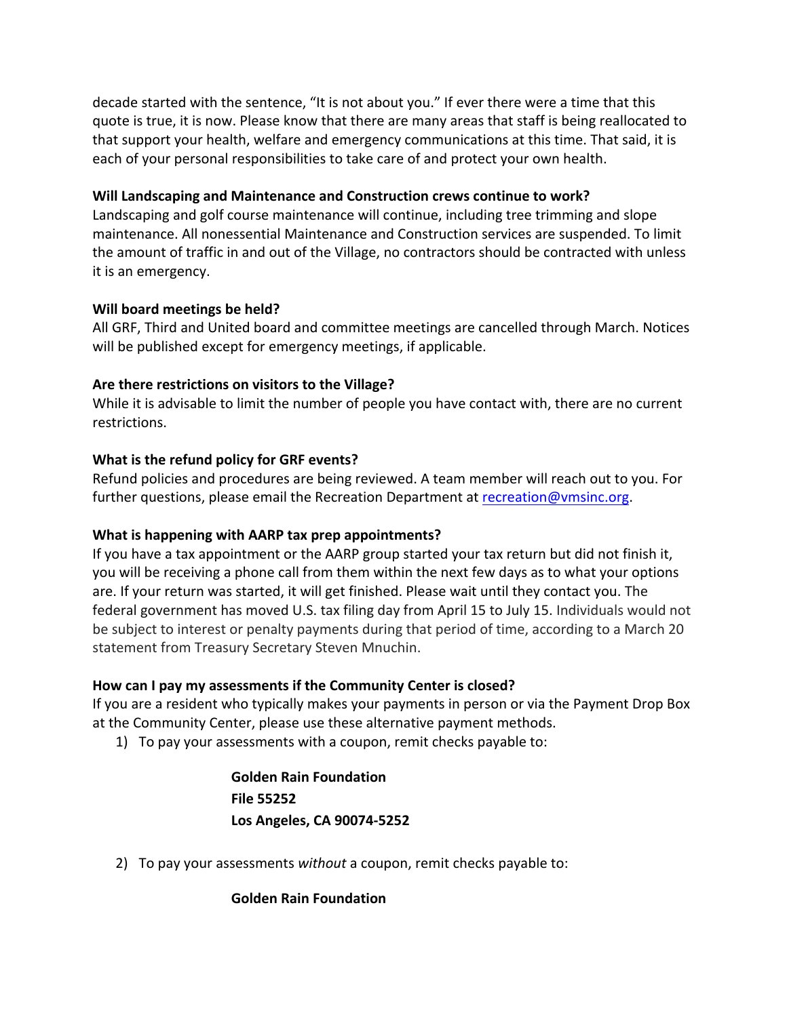decade started with the sentence, "It is not about you." If ever there were a time that this quote is true, it is now. Please know that there are many areas that staff is being reallocated to that support your health, welfare and emergency communications at this time. That said, it is each of your personal responsibilities to take care of and protect your own health.

### **Will Landscaping and Maintenance and Construction crews continue to work?**

Landscaping and golf course maintenance will continue, including tree trimming and slope maintenance. All nonessential Maintenance and Construction services are suspended. To limit the amount of traffic in and out of the Village, no contractors should be contracted with unless it is an emergency.

## **Will board meetings be held?**

All GRF, Third and United board and committee meetings are cancelled through March. Notices will be published except for emergency meetings, if applicable.

## **Are there restrictions on visitors to the Village?**

While it is advisable to limit the number of people you have contact with, there are no current restrictions.

## **What is the refund policy for GRF events?**

Refund policies and procedures are being reviewed. A team member will reach out to you. For further questions, please email the Recreation Department at recreation@vmsinc.org.

# **What is happening with AARP tax prep appointments?**

If you have a tax appointment or the AARP group started your tax return but did not finish it, you will be receiving a phone call from them within the next few days as to what your options are. If your return was started, it will get finished. Please wait until they contact you. The federal government has moved U.S. tax filing day from April 15 to July 15. Individuals would not be subject to interest or penalty payments during that period of time, according to a March 20 statement from Treasury Secretary Steven Mnuchin.

# **How can I pay my assessments if the Community Center is closed?**

If you are a resident who typically makes your payments in person or via the Payment Drop Box at the Community Center, please use these alternative payment methods.

1) To pay your assessments with a coupon, remit checks payable to:

**Golden Rain Foundation File 55252 Los Angeles, CA 90074-5252**

2) To pay your assessments *without* a coupon, remit checks payable to:

# **Golden Rain Foundation**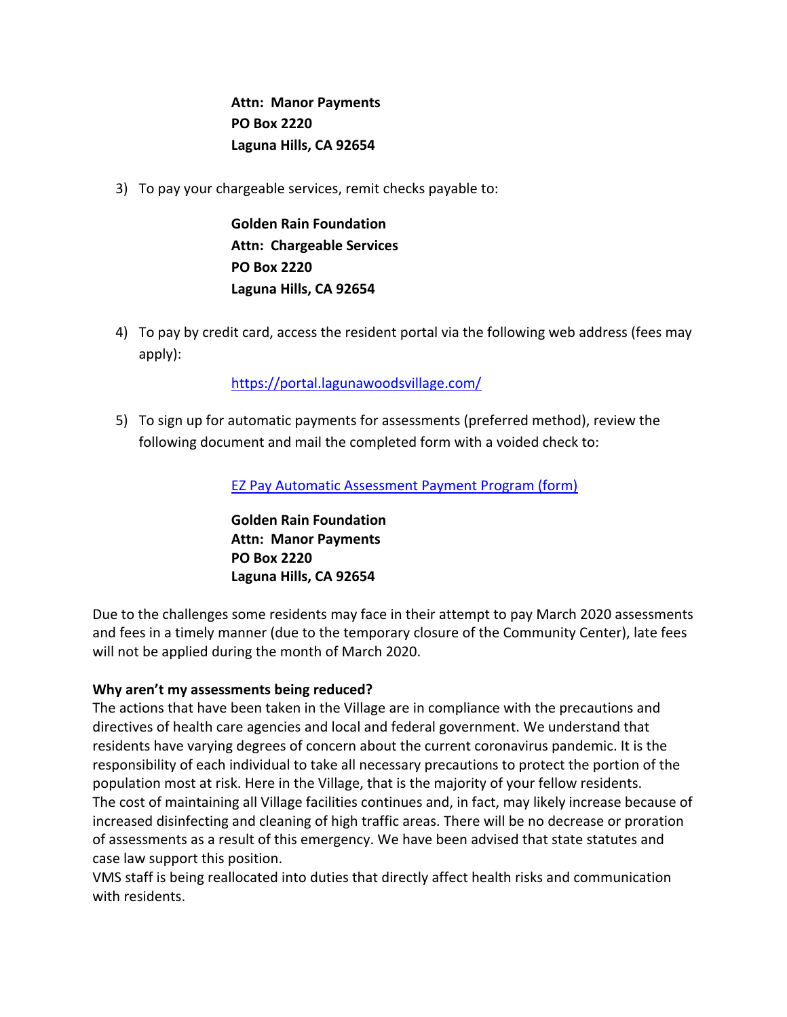**Attn: Manor Payments PO Box 2220 Laguna Hills, CA 92654**

3) To pay your chargeable services, remit checks payable to:

**Golden Rain Foundation Attn: Chargeable Services PO Box 2220 Laguna Hills, CA 92654**

4) To pay by credit card, access the resident portal via the following web address (fees may apply):

# https://portal.lagunawoodsvillage.com/

5) To sign up for automatic payments for assessments (preferred method), review the following document and mail the completed form with a voided check to:

EZ Pay Automatic Assessment Payment Program (form)

**Golden Rain Foundation Attn: Manor Payments PO Box 2220 Laguna Hills, CA 92654**

Due to the challenges some residents may face in their attempt to pay March 2020 assessments and fees in a timely manner (due to the temporary closure of the Community Center), late fees will not be applied during the month of March 2020.

### **Why aren't my assessments being reduced?**

The actions that have been taken in the Village are in compliance with the precautions and directives of health care agencies and local and federal government. We understand that residents have varying degrees of concern about the current coronavirus pandemic. It is the responsibility of each individual to take all necessary precautions to protect the portion of the population most at risk. Here in the Village, that is the majority of your fellow residents. The cost of maintaining all Village facilities continues and, in fact, may likely increase because of increased disinfecting and cleaning of high traffic areas. There will be no decrease or proration of assessments as a result of this emergency. We have been advised that state statutes and case law support this position.

VMS staff is being reallocated into duties that directly affect health risks and communication with residents.